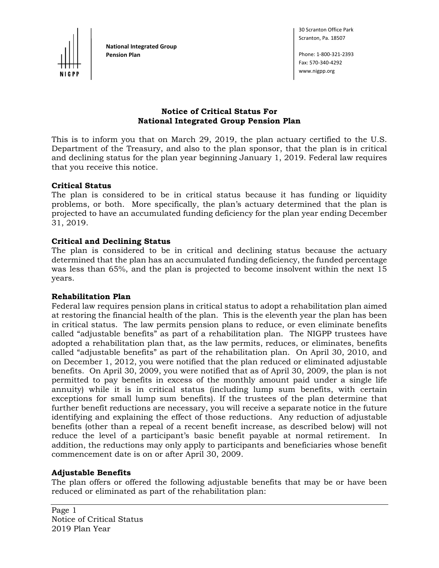

**National Integrated Group Pension Plan** Phone: 1‐800‐321‐2393

30 Scranton Office Park Scranton, Pa. 18507

Fax: 570‐340‐4292 www.nigpp.org

## **Notice of Critical Status For National Integrated Group Pension Plan**

This is to inform you that on March 29, 2019, the plan actuary certified to the U.S. Department of the Treasury, and also to the plan sponsor, that the plan is in critical and declining status for the plan year beginning January 1, 2019. Federal law requires that you receive this notice.

## **Critical Status**

The plan is considered to be in critical status because it has funding or liquidity problems, or both. More specifically, the plan's actuary determined that the plan is projected to have an accumulated funding deficiency for the plan year ending December 31, 2019.

### **Critical and Declining Status**

The plan is considered to be in critical and declining status because the actuary determined that the plan has an accumulated funding deficiency, the funded percentage was less than 65%, and the plan is projected to become insolvent within the next 15 years.

#### **Rehabilitation Plan**

Federal law requires pension plans in critical status to adopt a rehabilitation plan aimed at restoring the financial health of the plan. This is the eleventh year the plan has been in critical status. The law permits pension plans to reduce, or even eliminate benefits called "adjustable benefits" as part of a rehabilitation plan. The NIGPP trustees have adopted a rehabilitation plan that, as the law permits, reduces, or eliminates, benefits called "adjustable benefits" as part of the rehabilitation plan. On April 30, 2010, and on December 1, 2012, you were notified that the plan reduced or eliminated adjustable benefits. On April 30, 2009, you were notified that as of April 30, 2009, the plan is not permitted to pay benefits in excess of the monthly amount paid under a single life annuity) while it is in critical status (including lump sum benefits, with certain exceptions for small lump sum benefits). If the trustees of the plan determine that further benefit reductions are necessary, you will receive a separate notice in the future identifying and explaining the effect of those reductions. Any reduction of adjustable benefits (other than a repeal of a recent benefit increase, as described below) will not reduce the level of a participant's basic benefit payable at normal retirement. In addition, the reductions may only apply to participants and beneficiaries whose benefit commencement date is on or after April 30, 2009.

#### **Adjustable Benefits**

The plan offers or offered the following adjustable benefits that may be or have been reduced or eliminated as part of the rehabilitation plan: